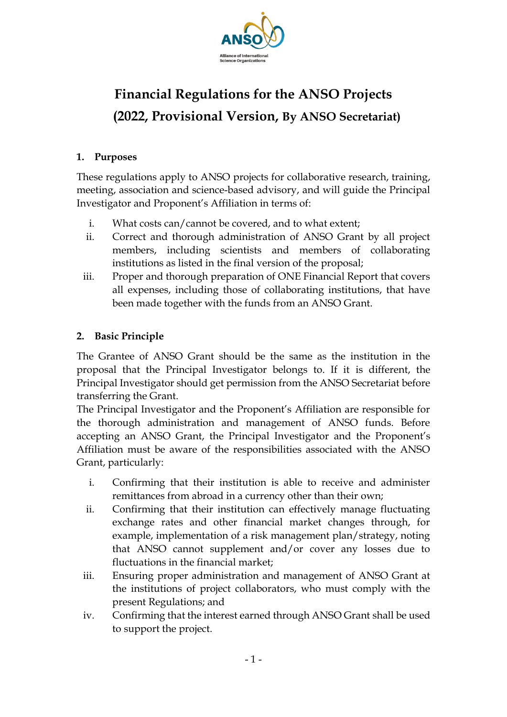

# **Financial Regulations for the ANSO Projects (2022, Provisional Version, By ANSO Secretariat)**

#### **1. Purposes**

These regulations apply to ANSO projects for collaborative research, training, meeting, association and science-based advisory, and will guide the Principal Investigator and Proponent's Affiliation in terms of:

- i. What costs can/cannot be covered, and to what extent;
- ii. Correct and thorough administration of ANSO Grant by all project members, including scientists and members of collaborating institutions as listed in the final version of the proposal;
- iii. Proper and thorough preparation of ONE Financial Report that covers all expenses, including those of collaborating institutions, that have been made together with the funds from an ANSO Grant.

#### **2. Basic Principle**

The Grantee of ANSO Grant should be the same as the institution in the proposal that the Principal Investigator belongs to. If it is different, the Principal Investigator should get permission from the ANSO Secretariat before transferring the Grant.

The Principal Investigator and the Proponent's Affiliation are responsible for the thorough administration and management of ANSO funds. Before accepting an ANSO Grant, the Principal Investigator and the Proponent's Affiliation must be aware of the responsibilities associated with the ANSO Grant, particularly:

- i. Confirming that their institution is able to receive and administer remittances from abroad in a currency other than their own;
- ii. Confirming that their institution can effectively manage fluctuating exchange rates and other financial market changes through, for example, implementation of a risk management plan/strategy, noting that ANSO cannot supplement and/or cover any losses due to fluctuations in the financial market;
- iii. Ensuring proper administration and management of ANSO Grant at the institutions of project collaborators, who must comply with the present Regulations; and
- iv. Confirming that the interest earned through ANSO Grant shall be used to support the project.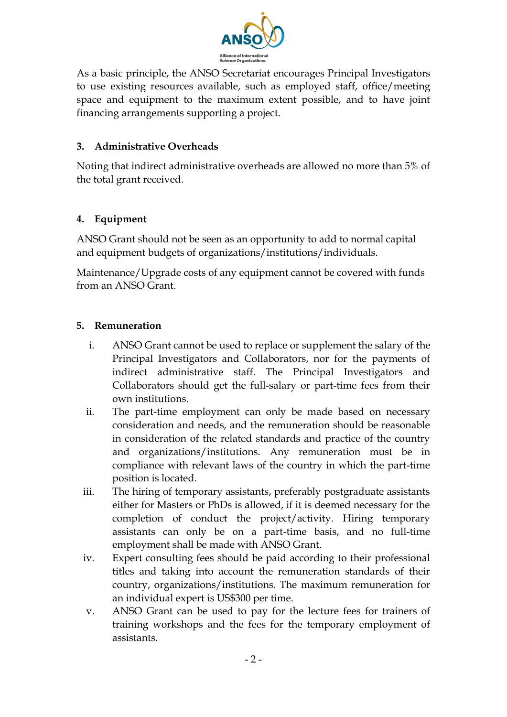

As a basic principle, the ANSO Secretariat encourages Principal Investigators to use existing resources available, such as employed staff, office/meeting space and equipment to the maximum extent possible, and to have joint financing arrangements supporting a project.

#### **3. Administrative Overheads**

Noting that indirect administrative overheads are allowed no more than 5% of the total grant received.

#### **4. Equipment**

ANSO Grant should not be seen as an opportunity to add to normal capital and equipment budgets of organizations/institutions/individuals.

Maintenance/Upgrade costs of any equipment cannot be covered with funds from an ANSO Grant.

#### **5. Remuneration**

- i. ANSO Grant cannot be used to replace or supplement the salary of the Principal Investigators and Collaborators, nor for the payments of indirect administrative staff. The Principal Investigators and Collaborators should get the full-salary or part-time fees from their own institutions.
- ii. The part-time employment can only be made based on necessary consideration and needs, and the remuneration should be reasonable in consideration of the related standards and practice of the country and organizations/institutions. Any remuneration must be in compliance with relevant laws of the country in which the part-time position is located.
- iii. The hiring of temporary assistants, preferably postgraduate assistants either for Masters or PhDs is allowed, if it is deemed necessary for the completion of conduct the project/activity. Hiring temporary assistants can only be on a part-time basis, and no full-time employment shall be made with ANSO Grant.
- iv. Expert consulting fees should be paid according to their professional titles and taking into account the remuneration standards of their country, organizations/institutions. The maximum remuneration for an individual expert is US\$300 per time.
- v. ANSO Grant can be used to pay for the lecture fees for trainers of training workshops and the fees for the temporary employment of assistants.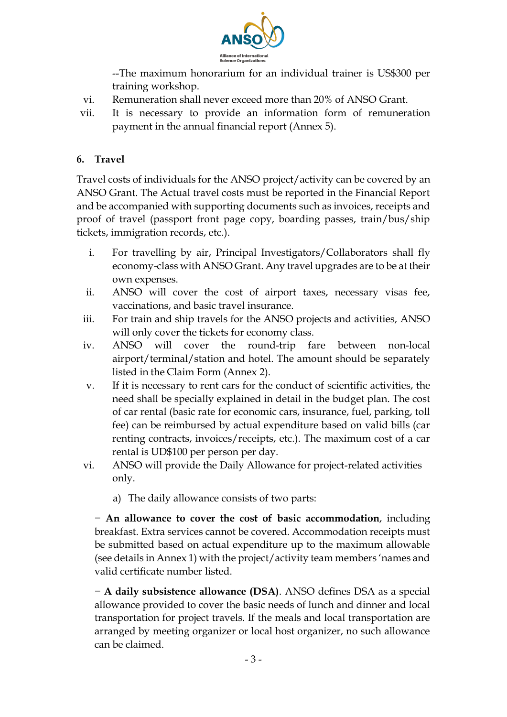

--The maximum honorarium for an individual trainer is US\$300 per training workshop.

- vi. Remuneration shall never exceed more than 20% of ANSO Grant.
- vii. It is necessary to provide an information form of remuneration payment in the annual financial report (Annex 5).

#### **6. Travel**

Travel costs of individuals for the ANSO project/activity can be covered by an ANSO Grant. The Actual travel costs must be reported in the Financial Report and be accompanied with supporting documents such as invoices, receipts and proof of travel (passport front page copy, boarding passes, train/bus/ship tickets, immigration records, etc.).

- i. For travelling by air, Principal Investigators/Collaborators shall fly economy-class with ANSO Grant. Any travel upgrades are to be at their own expenses.
- ii. ANSO will cover the cost of airport taxes, necessary visas fee, vaccinations, and basic travel insurance.
- iii. For train and ship travels for the ANSO projects and activities, ANSO will only cover the tickets for economy class.
- iv. ANSO will cover the round-trip fare between non-local airport/terminal/station and hotel. The amount should be separately listed in the Claim Form (Annex 2).
- v. If it is necessary to rent cars for the conduct of scientific activities, the need shall be specially explained in detail in the budget plan. The cost of car rental (basic rate for economic cars, insurance, fuel, parking, toll fee) can be reimbursed by actual expenditure based on valid bills (car renting contracts, invoices/receipts, etc.). The maximum cost of a car rental is UD\$100 per person per day.
- vi. ANSO will provide the Daily Allowance for project-related activities only.
	- a) The daily allowance consists of two parts:

− **An allowance to cover the cost of basic accommodation**, including breakfast. Extra services cannot be covered. Accommodation receipts must be submitted based on actual expenditure up to the maximum allowable (see details in Annex 1) with the project/activity team members 'names and valid certificate number listed.

− **A daily subsistence allowance (DSA)**. ANSO defines DSA as a special allowance provided to cover the basic needs of lunch and dinner and local transportation for project travels. If the meals and local transportation are arranged by meeting organizer or local host organizer, no such allowance can be claimed.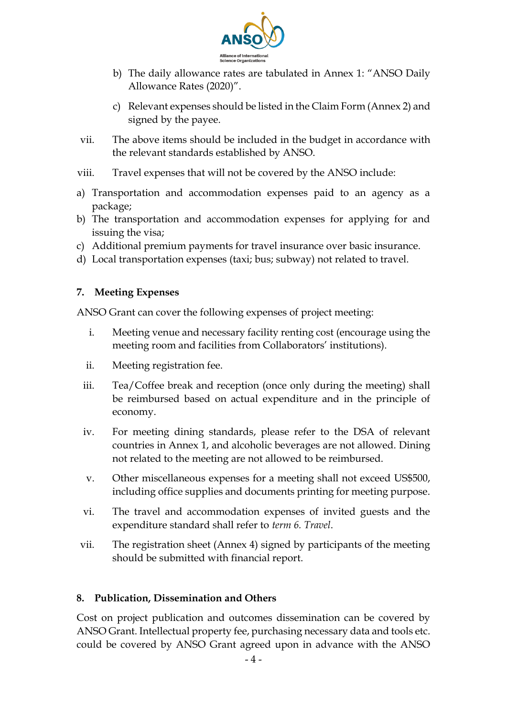

- b) The daily allowance rates are tabulated in Annex 1: "ANSO Daily Allowance Rates (2020)".
- c) Relevant expenses should be listed in the Claim Form (Annex 2) and signed by the payee.
- vii. The above items should be included in the budget in accordance with the relevant standards established by ANSO.
- viii. Travel expenses that will not be covered by the ANSO include:
- a) Transportation and accommodation expenses paid to an agency as a package;
- b) The transportation and accommodation expenses for applying for and issuing the visa;
- c) Additional premium payments for travel insurance over basic insurance.
- d) Local transportation expenses (taxi; bus; subway) not related to travel.

#### **7. Meeting Expenses**

ANSO Grant can cover the following expenses of project meeting:

- i. Meeting venue and necessary facility renting cost (encourage using the meeting room and facilities from Collaborators' institutions).
- ii. Meeting registration fee.
- iii. Tea/Coffee break and reception (once only during the meeting) shall be reimbursed based on actual expenditure and in the principle of economy.
- iv. For meeting dining standards, please refer to the DSA of relevant countries in Annex 1, and alcoholic beverages are not allowed. Dining not related to the meeting are not allowed to be reimbursed.
- v. Other miscellaneous expenses for a meeting shall not exceed US\$500, including office supplies and documents printing for meeting purpose.
- vi. The travel and accommodation expenses of invited guests and the expenditure standard shall refer to *term 6. Travel*.
- vii. The registration sheet (Annex 4) signed by participants of the meeting should be submitted with financial report.

#### **8. Publication, Dissemination and Others**

Cost on project publication and outcomes dissemination can be covered by ANSO Grant. Intellectual property fee, purchasing necessary data and tools etc. could be covered by ANSO Grant agreed upon in advance with the ANSO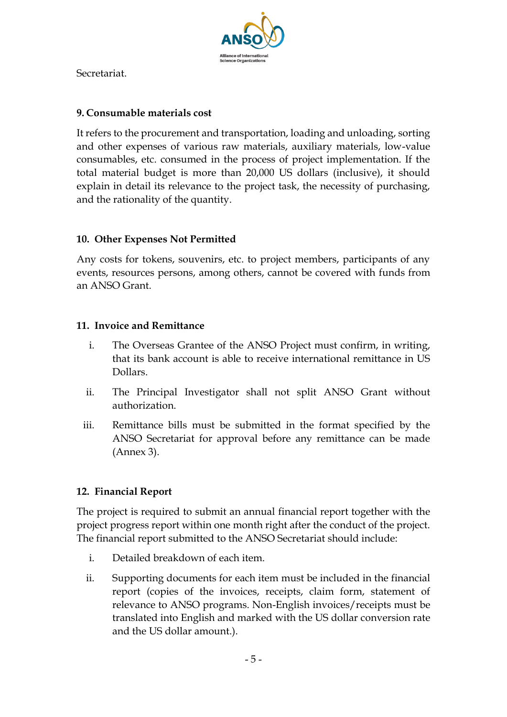

Secretariat.

#### **9. Consumable materials cost**

It refers to the procurement and transportation, loading and unloading, sorting and other expenses of various raw materials, auxiliary materials, low-value consumables, etc. consumed in the process of project implementation. If the total material budget is more than 20,000 US dollars (inclusive), it should explain in detail its relevance to the project task, the necessity of purchasing, and the rationality of the quantity.

#### **10. Other Expenses Not Permitted**

Any costs for tokens, souvenirs, etc. to project members, participants of any events, resources persons, among others, cannot be covered with funds from an ANSO Grant.

#### **11. Invoice and Remittance**

- i. The Overseas Grantee of the ANSO Project must confirm, in writing, that its bank account is able to receive international remittance in US Dollars.
- ii. The Principal Investigator shall not split ANSO Grant without authorization.
- iii. Remittance bills must be submitted in the format specified by the ANSO Secretariat for approval before any remittance can be made (Annex 3).

#### **12. Financial Report**

The project is required to submit an annual financial report together with the project progress report within one month right after the conduct of the project. The financial report submitted to the ANSO Secretariat should include:

- i. Detailed breakdown of each item.
- ii. Supporting documents for each item must be included in the financial report (copies of the invoices, receipts, claim form, statement of relevance to ANSO programs. Non-English invoices/receipts must be translated into English and marked with the US dollar conversion rate and the US dollar amount.).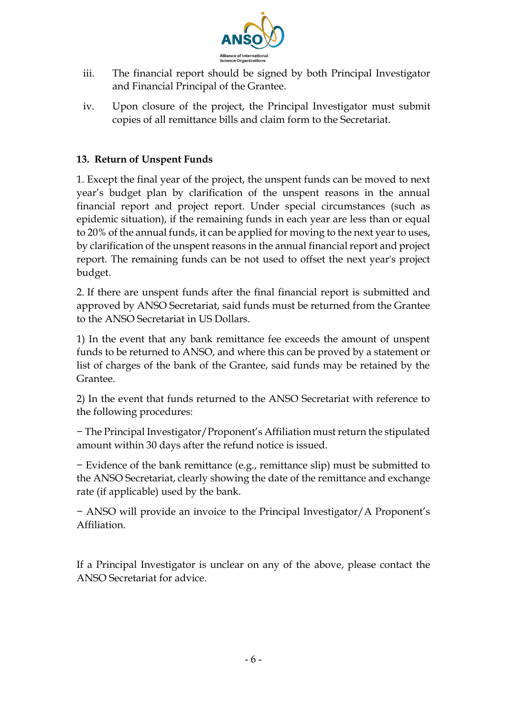

- iii. The financial report should be signed by both Principal Investigator and Financial Principal of the Grantee.
- iv. Upon closure of the project, the Principal Investigator must submit copies of all remittance bills and claim form to the Secretariat.

#### **13. Return of Unspent Funds**

1. Except the final year of the project, the unspent funds can be moved to next year's budget plan by clarification of the unspent reasons in the annual financial report and project report. Under special circumstances (such as epidemic situation), if the remaining funds in each year are less than or equal to 20% of the annual funds, it can be applied for moving to the next year to uses, by clarification of the unspent reasons in the annual financial report and project report. The remaining funds can be not used to offset the next year's project budget.

2. If there are unspent funds after the final financial report is submitted and approved by ANSO Secretariat, said funds must be returned from the Grantee to the ANSO Secretariat in US Dollars.

1) In the event that any bank remittance fee exceeds the amount of unspent funds to be returned to ANSO, and where this can be proved by a statement or list of charges of the bank of the Grantee, said funds may be retained by the Grantee.

2) In the event that funds returned to the ANSO Secretariat with reference to the following procedures:

− The Principal Investigator/Proponent's Affiliation must return the stipulated amount within 30 days after the refund notice is issued.

− Evidence of the bank remittance (e.g., remittance slip) must be submitted to the ANSO Secretariat, clearly showing the date of the remittance and exchange rate (if applicable) used by the bank.

− ANSO will provide an invoice to the Principal Investigator/A Proponent's Affiliation.

If a Principal Investigator is unclear on any of the above, please contact the ANSO Secretariat for advice.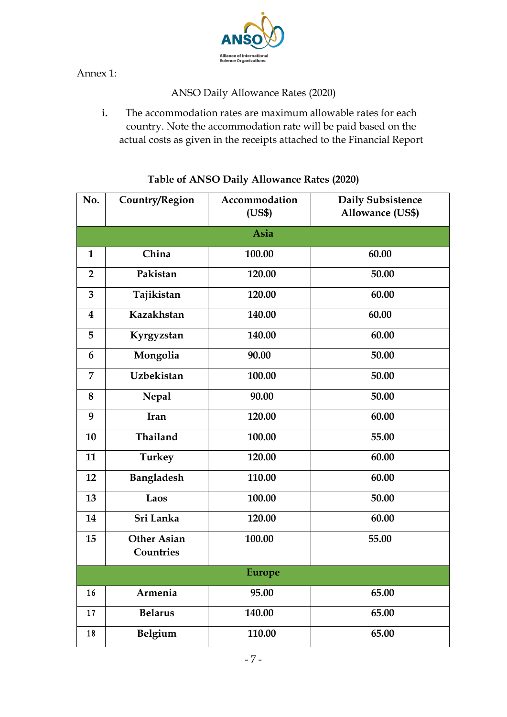

Annex 1:

ANSO Daily Allowance Rates (2020)

**i.** The accommodation rates are maximum allowable rates for each country. Note the accommodation rate will be paid based on the actual costs as given in the receipts attached to the Financial Report

| No.            | Country/Region                  | <b>Daily Subsistence</b> |                         |  |  |  |  |  |  |
|----------------|---------------------------------|--------------------------|-------------------------|--|--|--|--|--|--|
|                |                                 | (US\$)                   | <b>Allowance (US\$)</b> |  |  |  |  |  |  |
|                | Asia                            |                          |                         |  |  |  |  |  |  |
| 1              | China                           | 100.00                   | 60.00                   |  |  |  |  |  |  |
| $\overline{2}$ | Pakistan                        | 120.00                   | 50.00                   |  |  |  |  |  |  |
| 3              | Tajikistan                      | 120.00                   | 60.00                   |  |  |  |  |  |  |
| $\bf{4}$       | Kazakhstan                      | 140.00                   | 60.00                   |  |  |  |  |  |  |
| 5              | Kyrgyzstan                      | 140.00                   | 60.00                   |  |  |  |  |  |  |
| 6              | Mongolia                        | 90.00                    | 50.00                   |  |  |  |  |  |  |
| 7              | <b>Uzbekistan</b>               | 100.00                   | 50.00                   |  |  |  |  |  |  |
| 8              | <b>Nepal</b>                    | 90.00                    | 50.00                   |  |  |  |  |  |  |
| 9              | Iran                            | 120.00                   | 60.00                   |  |  |  |  |  |  |
| 10             | Thailand                        | 100.00                   | 55.00                   |  |  |  |  |  |  |
| 11             | Turkey                          | 120.00                   | 60.00                   |  |  |  |  |  |  |
| 12             | <b>Bangladesh</b>               | 110.00<br>60.00          |                         |  |  |  |  |  |  |
| 13             | Laos<br>100.00<br>50.00         |                          |                         |  |  |  |  |  |  |
| 14             | Sri Lanka                       | 120.00                   | 60.00                   |  |  |  |  |  |  |
| 15             | <b>Other Asian</b><br>Countries | 100.00                   | 55.00                   |  |  |  |  |  |  |
| <b>Europe</b>  |                                 |                          |                         |  |  |  |  |  |  |
| 16             | Armenia                         | 95.00                    | 65.00                   |  |  |  |  |  |  |
| 17             | <b>Belarus</b>                  | 140.00                   | 65.00                   |  |  |  |  |  |  |
| 18             | Belgium                         | 110.00                   | 65.00                   |  |  |  |  |  |  |

#### **Table of ANSO Daily Allowance Rates (2020)**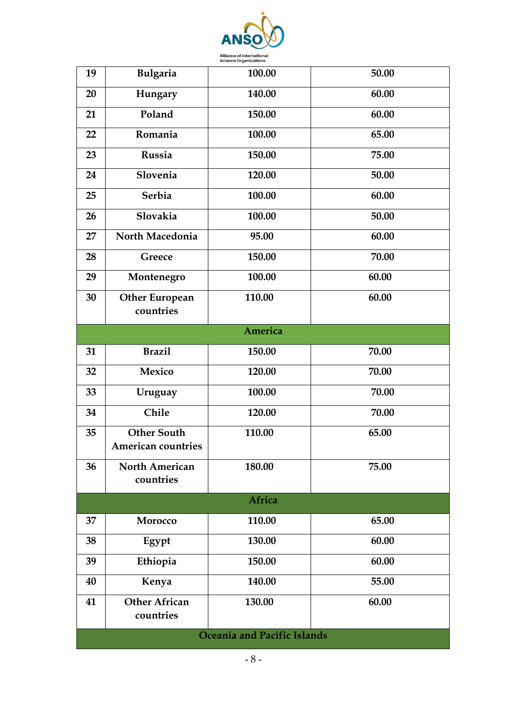

| 19                          | <b>Bulgaria</b>                                 | 100.00 | 50.00 |  |  |  |  |
|-----------------------------|-------------------------------------------------|--------|-------|--|--|--|--|
|                             |                                                 |        |       |  |  |  |  |
| 20                          | Hungary                                         | 140.00 | 60.00 |  |  |  |  |
| 21                          | Poland                                          | 150.00 | 60.00 |  |  |  |  |
| 22                          | Romania                                         | 100.00 | 65.00 |  |  |  |  |
| 23                          | Russia                                          | 150.00 | 75.00 |  |  |  |  |
| 24                          | Slovenia                                        | 120.00 | 50.00 |  |  |  |  |
| 25                          | <b>Serbia</b>                                   | 100.00 | 60.00 |  |  |  |  |
| 26                          | Slovakia                                        | 100.00 | 50.00 |  |  |  |  |
| 27                          | North Macedonia                                 | 95.00  | 60.00 |  |  |  |  |
| 28                          | Greece                                          | 150.00 | 70.00 |  |  |  |  |
| 29                          | Montenegro                                      | 100.00 | 60.00 |  |  |  |  |
| 30                          | <b>Other European</b><br>countries              | 110.00 | 60.00 |  |  |  |  |
| America                     |                                                 |        |       |  |  |  |  |
| 31                          | <b>Brazil</b>                                   | 150.00 | 70.00 |  |  |  |  |
| 32                          | Mexico                                          | 120.00 | 70.00 |  |  |  |  |
| 33                          | Uruguay                                         | 100.00 | 70.00 |  |  |  |  |
| 34                          | Chile                                           | 120.00 | 70.00 |  |  |  |  |
| 35                          | <b>Other South</b><br><b>American countries</b> | 110.00 | 65.00 |  |  |  |  |
| 36                          | <b>North American</b><br>countries              | 180.00 | 75.00 |  |  |  |  |
| Africa                      |                                                 |        |       |  |  |  |  |
| 37                          | Morocco                                         | 110.00 | 65.00 |  |  |  |  |
| 38                          | Egypt                                           | 130.00 | 60.00 |  |  |  |  |
| 39                          | Ethiopia                                        | 150.00 | 60.00 |  |  |  |  |
| 40                          | Kenya                                           | 140.00 | 55.00 |  |  |  |  |
| 41                          | <b>Other African</b><br>countries               | 130.00 | 60.00 |  |  |  |  |
| Oceania and Pacific Islands |                                                 |        |       |  |  |  |  |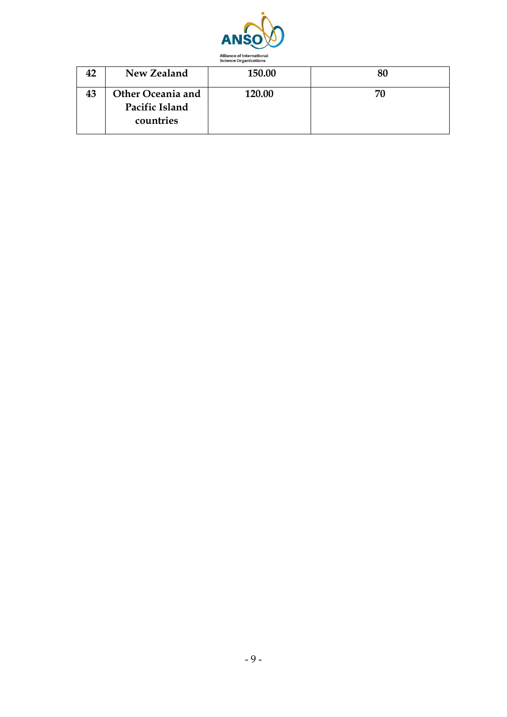

| 42 | New Zealand                                      | 150.00 |    |
|----|--------------------------------------------------|--------|----|
| 43 | Other Oceania and<br>Pacific Island<br>countries | 120.00 | 70 |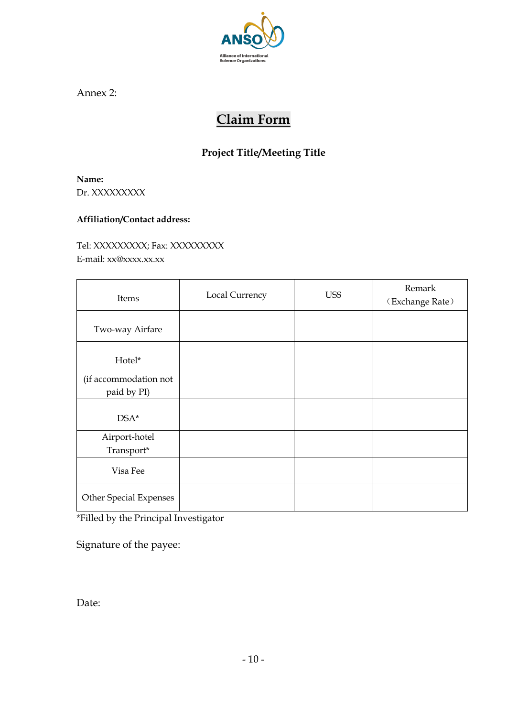

Annex 2:

## **Claim Form**

### **Project Title/Meeting Title**

**Name:** Dr. XXXXXXXXX

#### **Affiliation/Contact address:**

Tel: XXXXXXXXX; Fax: XXXXXXXXX E-mail: xx@xxxx.xx.xx

| Items                                          | Local Currency | US\$ | Remark<br>(Exchange Rate) |
|------------------------------------------------|----------------|------|---------------------------|
| Two-way Airfare                                |                |      |                           |
| Hotel*<br>(if accommodation not<br>paid by PI) |                |      |                           |
| $DSA*$                                         |                |      |                           |
| Airport-hotel<br>Transport*                    |                |      |                           |
| Visa Fee                                       |                |      |                           |
| Other Special Expenses                         |                |      |                           |

\*Filled by the Principal Investigator

Signature of the payee:

Date: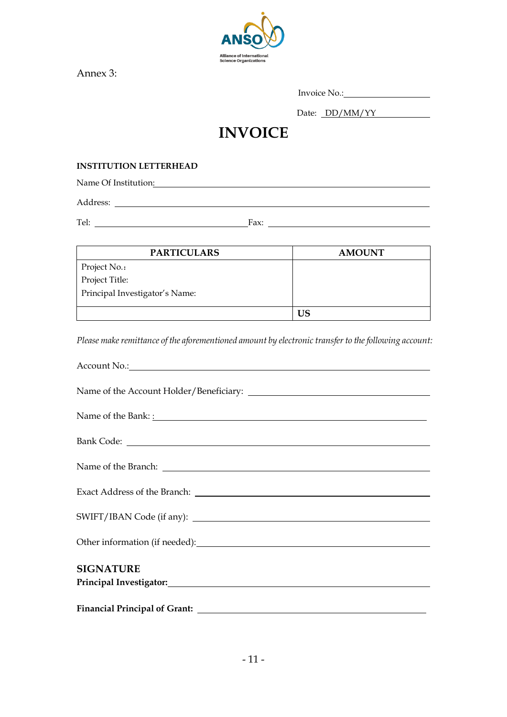

Annex 3:

| Invoice No.: |
|--------------|
|--------------|

Date: DD/MM/YY

# **INVOICE**

#### **INSTITUTION LETTERHEAD**

Name Of Institution:

Address:

Tel: Fax:

| <b>PARTICULARS</b>             | <b>AMOUNT</b> |
|--------------------------------|---------------|
| Project No.:                   |               |
| Project Title:                 |               |
| Principal Investigator's Name: |               |
|                                |               |
|                                | US            |

*Please make remittance of the aforementioned amount by electronic transfer to the following account:*

| Name of the Bank: <u>:</u> |
|----------------------------|
|                            |
|                            |
|                            |
|                            |
|                            |
| <b>SIGNATURE</b>           |
|                            |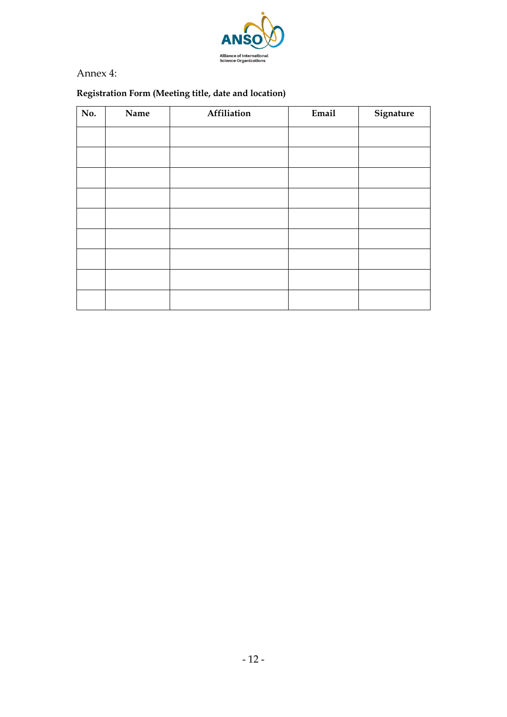

Annex 4:

### **Registration Form (Meeting title, date and location)**

| No. | Name | Affiliation | Email | Signature |
|-----|------|-------------|-------|-----------|
|     |      |             |       |           |
|     |      |             |       |           |
|     |      |             |       |           |
|     |      |             |       |           |
|     |      |             |       |           |
|     |      |             |       |           |
|     |      |             |       |           |
|     |      |             |       |           |
|     |      |             |       |           |